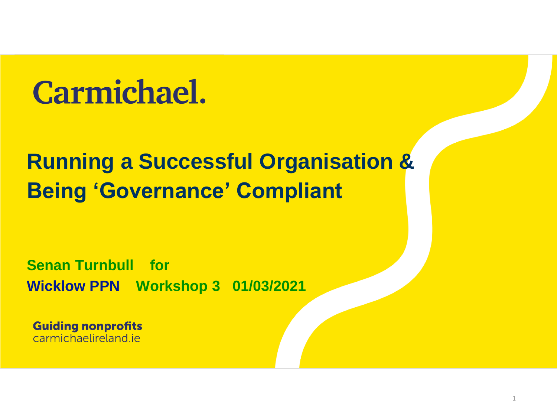## **Carmichael.**

#### **Running a Successful Organisation & Being 'Governance' Compliant**

**Senan Turnbull for Wicklow PPN Workshop 3 01/03/2021**

**Guiding nonprofits** carmichaelireland je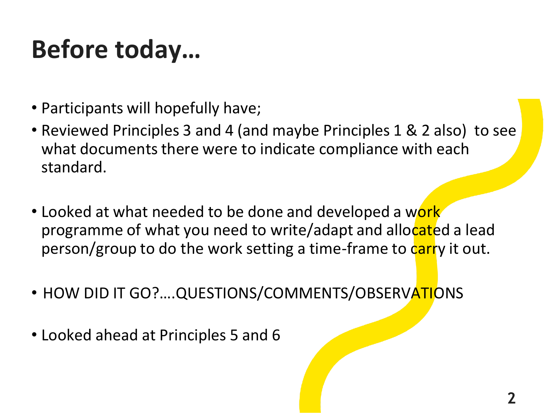### **Before today…**

- Participants will hopefully have;
- Reviewed Principles 3 and 4 (and maybe Principles 1 & 2 also) to see what documents there were to indicate compliance with each standard.
- Looked at what needed to be done and developed a work programme of what you need to write/adapt and allocated a lead person/group to do the work setting a time-frame to carry it out.
- HOW DID IT GO?....QUESTIONS/COMMENTS/OBSERVATIONS
- Looked ahead at Principles 5 and 6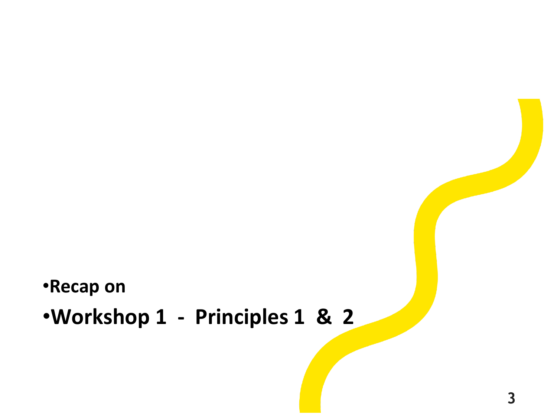#### •**Recap on**

#### •**Workshop 1 - Principles 1 & 2**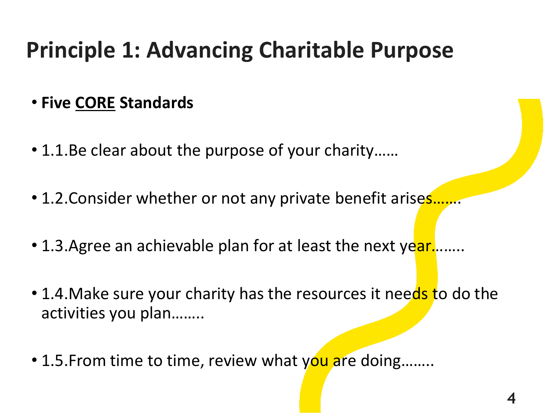### **Principle 1: Advancing Charitable Purpose**

#### • **Five CORE Standards**

- 1.1.Be clear about the purpose of your charity……
- 1.2. Consider whether or not any private benefit arises.
- 1.3. Agree an achievable plan for at least the next year.......
- 1.4. Make sure your charity has the resources it needs to do the activities you plan……..
- 1.5. From time to time, review what you are doing........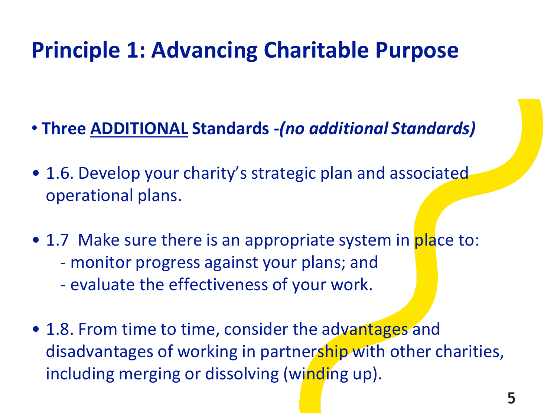### **Principle 1: Advancing Charitable Purpose**

- **Three ADDITIONAL Standards -***(no additional Standards)*
- 1.6. Develop your charity's strategic plan and associated operational plans.
- 1.7 Make sure there is an appropriate system in place to: - monitor progress against your plans; and - evaluate the effectiveness of your work.
- 1.8. From time to time, consider the advantages and disadvantages of working in partnership with other charities, including merging or dissolving (winding up).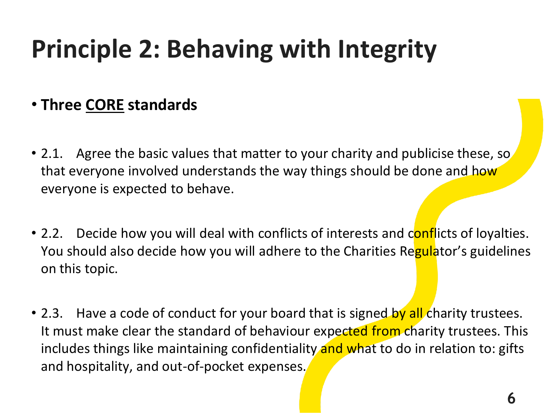## **Principle 2: Behaving with Integrity**

#### • **Three CORE standards**

- 2.1. Agree the basic values that matter to your charity and publicise these, so that everyone involved understands the way things should be done and how everyone is expected to behave.
- 2.2. Decide how you will deal with conflicts of interests and conflicts of loyalties. You should also decide how you will adhere to the Charities Regulator's guidelines on this topic.
- 2.3. Have a code of conduct for your board that is signed by all charity trustees. It must make clear the standard of behaviour expected from charity trustees. This includes things like maintaining confidentiality and what to do in relation to: gifts and hospitality, and out-of-pocket expenses.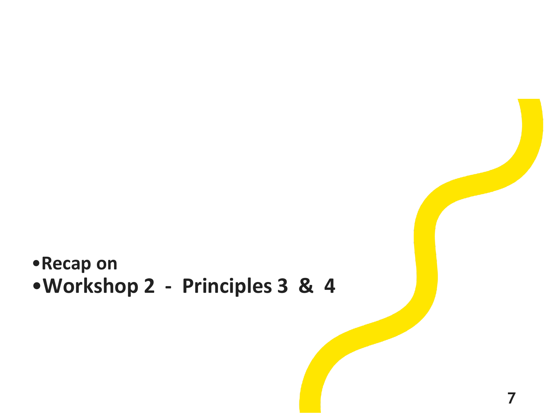#### •**Recap on** •**Workshop 2 - Principles 3 & 4**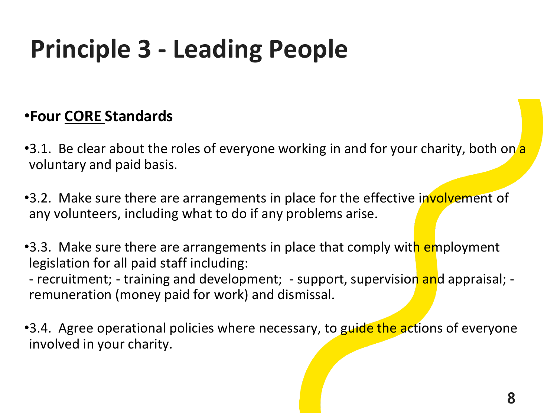### **Principle 3 - Leading People**

#### •**Four CORE Standards**

- •3.1. Be clear about the roles of everyone working in and for your charity, both on a voluntary and paid basis.
- •3.2. Make sure there are arrangements in place for the effective involvement of any volunteers, including what to do if any problems arise.
- •3.3. Make sure there are arrangements in place that comply with employment legislation for all paid staff including:

- recruitment; - training and development; - support, supervision and appraisal; remuneration (money paid for work) and dismissal.

•3.4. Agree operational policies where necessary, to guide the actions of everyone involved in your charity.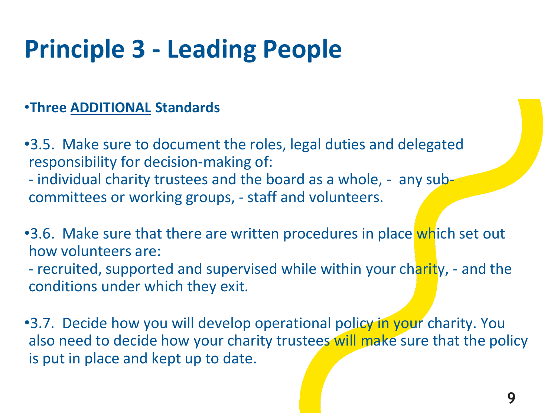### **Principle 3 - Leading People**

#### •**Three ADDITIONAL Standards**

- •3.5. Make sure to document the roles, legal duties and delegated responsibility for decision-making of:
- individual charity trustees and the board as a whole, any subcommittees or working groups, - staff and volunteers.
- •3.6. Make sure that there are written procedures in place which set out how volunteers are:
- recruited, supported and supervised while within your charity, and the conditions under which they exit.

•3.7. Decide how you will develop operational policy in your charity. You also need to decide how your charity trustees will make sure that the policy is put in place and kept up to date.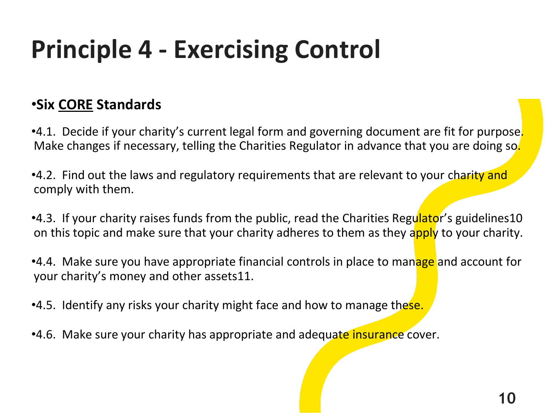## **Principle 4 - Exercising Control**

#### •**Six CORE Standards**

•4.1. Decide if your charity's current legal form and governing document are fit for purpose. Make changes if necessary, telling the Charities Regulator in advance that you are doing so.

•4.2. Find out the laws and regulatory requirements that are relevant to your charity and comply with them.

•4.3. If your charity raises funds from the public, read the Charities Regulator's guidelines10 on this topic and make sure that your charity adheres to them as they apply to your charity.

•4.4. Make sure you have appropriate financial controls in place to manage and account for your charity's money and other assets11.

•4.5. Identify any risks your charity might face and how to manage these.

•4.6. Make sure your charity has appropriate and adequate insurance cover.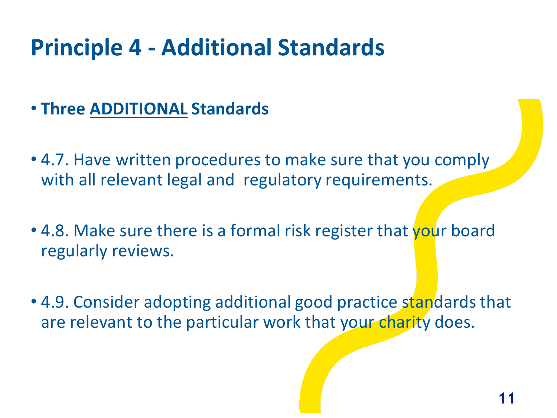- **Three ADDITIONAL Standards**
- 4.7. Have written procedures to make sure that you comply with all relevant legal and regulatory requirements.
- 4.8. Make sure there is a formal risk register that your board regularly reviews.
- 4.9. Consider adopting additional good practice standards that are relevant to the particular work that your charity does.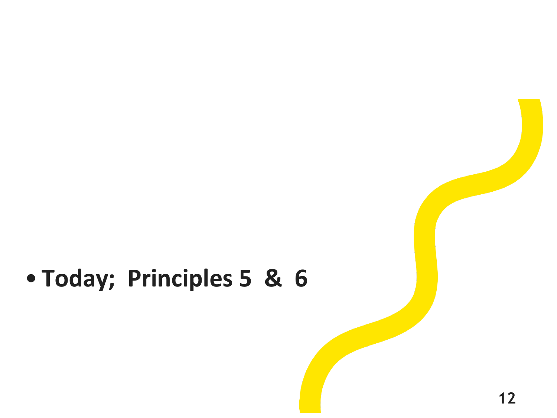### • **Today; Principles 5 & 6**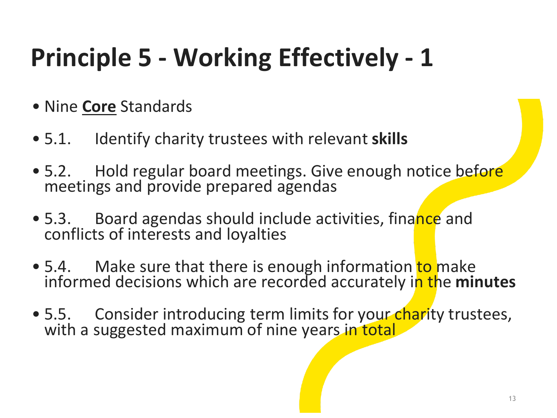- Nine **Core** Standards
- 5.1. Identify charity trustees with relevant **skills**
- 5.2. Hold regular board meetings. Give enough notice before meetings and provide prepared agendas
- 5.3. Board agendas should include activities, finance and conflicts of interests and loyalties
- 5.4. Make sure that there is enough information to make informed decisions which are recorded accurately in the **minutes**
- 5.5. Consider introducing term limits for your charity trustees, with a suggested maximum of nine years in total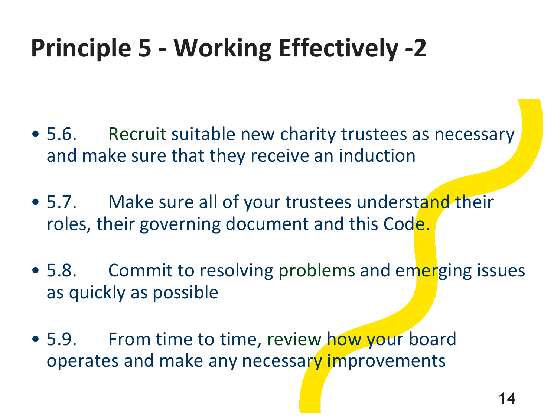- 5.6. Recruit suitable new charity trustees as necessary and make sure that they receive an induction
- 5.7. Make sure all of your trustees understand their roles, their governing document and this Code.
- 5.8. Commit to resolving problems and emerging issues as quickly as possible
- 5.9. From time to time, review how your board operates and make any necessary improvements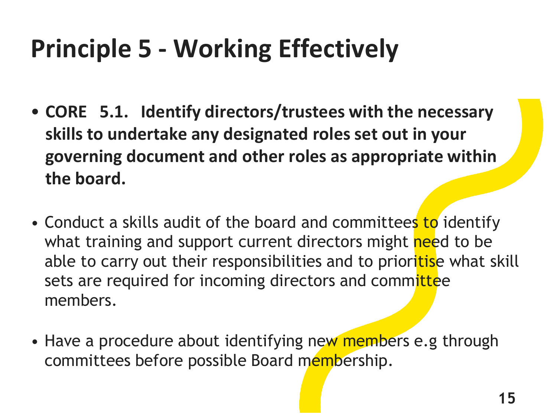- **CORE 5.1. Identify directors/trustees with the necessary skills to undertake any designated roles set out in your governing document and other roles as appropriate within the board.**
- Conduct a skills audit of the board and committees to identify what training and support current directors might need to be able to carry out their responsibilities and to prioritise what skill sets are required for incoming directors and committee members.
- Have a procedure about identifying new members e.g through committees before possible Board membership.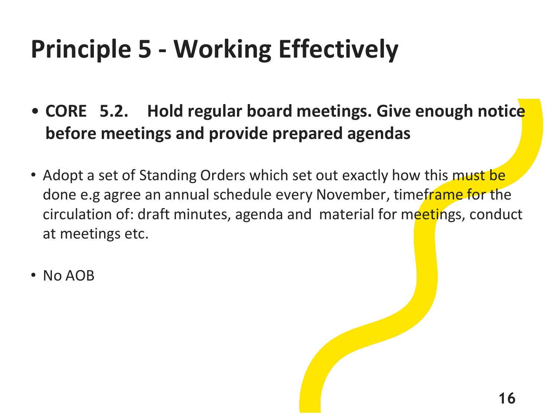- **CORE 5.2. Hold regular board meetings. Give enough notice before meetings and provide prepared agendas**
- Adopt a set of Standing Orders which set out exactly how this must be done e.g agree an annual schedule every November, timeframe for the circulation of: draft minutes, agenda and material for meetings, conduct at meetings etc.
- No AOB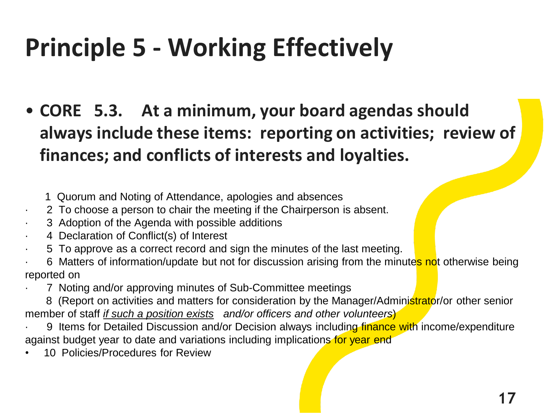- **CORE 5.3. At a minimum, your board agendas should always include these items: reporting on activities; review of finances; and conflicts of interests and loyalties.**
	- 1 Quorum and Noting of Attendance, apologies and absences
- · 2 To choose a person to chair the meeting if the Chairperson is absent.
- 3 Adoption of the Agenda with possible additions
- 4 Declaration of Conflict(s) of Interest
- · 5 To approve as a correct record and sign the minutes of the last meeting.
- 6 Matters of information/update but not for discussion arising from the minutes not otherwise being reported on
- 7 Noting and/or approving minutes of Sub-Committee meetings
- 8 (Report on activities and matters for consideration by the Manager/Administrator/or other senior member of staff *if such a position exists and/or officers and other volunteers*)
- 9 Items for Detailed Discussion and/or Decision always including finance with income/expenditure against budget year to date and variations including implications for year end
- 10 Policies/Procedures for Review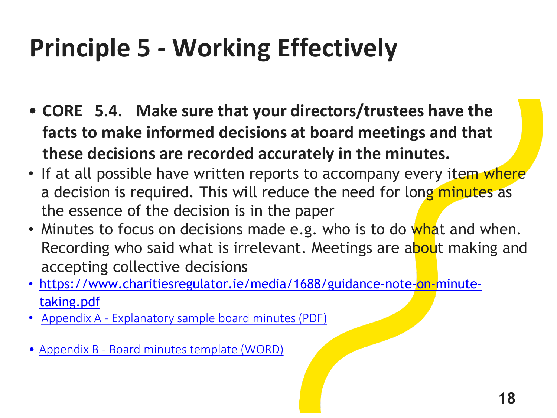- **CORE 5.4. Make sure that your directors/trustees have the facts to make informed decisions at board meetings and that these decisions are recorded accurately in the minutes.**
- If at all possible have written reports to accompany every item where a decision is required. This will reduce the need for long minutes as the essence of the decision is in the paper
- Minutes to focus on decisions made e.g. who is to do what and when. Recording who said what is irrelevant. Meetings are about making and accepting collective decisions
- [https://www.charitiesregulator.ie/media/1688/guidance-note-on-minute](https://www.charitiesregulator.ie/media/1688/guidance-note-on-minute-taking.pdf)taking.pdf
- Appendix A [Explanatory sample board minutes](https://www.charitiesregulator.ie/media/1689/appendix-a-explanatory-sample-board-minutes.pdf) (PDF)
- Appendix B [Board minutes template](https://www.charitiesregulator.ie/media/1690/appendix-b-board-minutes-template.docx) (WORD)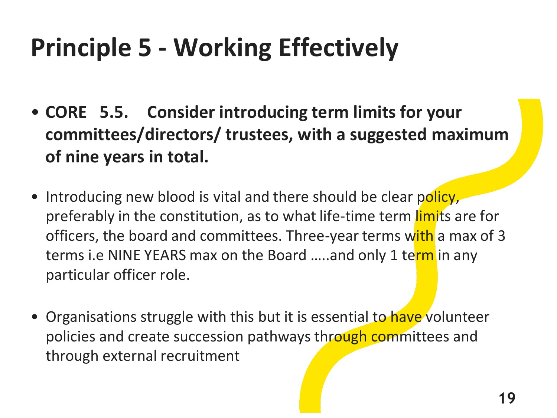- **CORE 5.5. Consider introducing term limits for your committees/directors/ trustees, with a suggested maximum of nine years in total.**
- Introducing new blood is vital and there should be clear policy, preferably in the constitution, as to what life-time term limits are for officers, the board and committees. Three-year terms with a max of 3 terms i.e NINE YEARS max on the Board .....and only 1 term in any particular officer role.
- Organisations struggle with this but it is essential to have volunteer policies and create succession pathways through committees and through external recruitment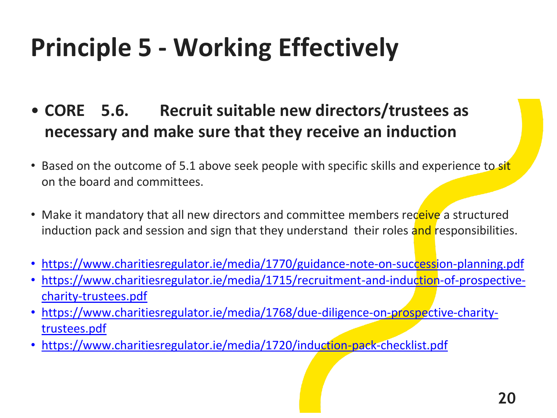- **CORE 5.6. Recruit suitable new directors/trustees as necessary and make sure that they receive an induction**
- Based on the outcome of 5.1 above seek people with specific skills and experience to sit on the board and committees.
- Make it mandatory that all new directors and committee members receive a structured induction pack and session and sign that they understand their roles and responsibilities.
- <https://www.charitiesregulator.ie/media/1770/guidance-note-on-succession-planning.pdf>
- [https://www.charitiesregulator.ie/media/1715/recruitment-and-induction-of-prospective](https://www.charitiesregulator.ie/media/1715/recruitment-and-induction-of-prospective-charity-trustees.pdf)charity-trustees.pdf
- [https://www.charitiesregulator.ie/media/1768/due-diligence-on-prospective-charity](https://www.charitiesregulator.ie/media/1768/due-diligence-on-prospective-charity-trustees.pdf)trustees.pdf
- <https://www.charitiesregulator.ie/media/1720/induction-pack-checklist.pdf>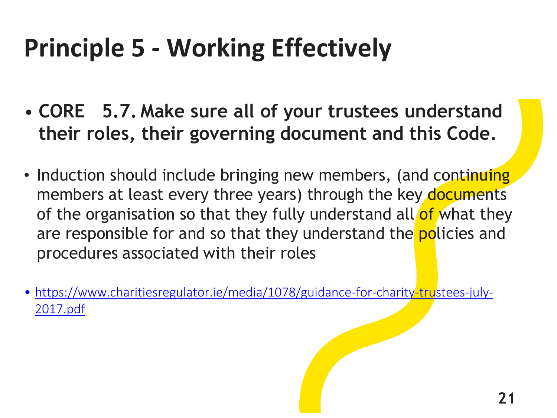- **CORE 5.7. Make sure all of your trustees understand their roles, their governing document and this Code.**
- Induction should include bringing new members, (and continuing members at least every three years) through the key documents of the organisation so that they fully understand all of what they are responsible for and so that they understand the **policies** and procedures associated with their roles
- [https://www.charitiesregulator.ie/media/1078/guidance-for-charity-trustees-july-](https://www.charitiesregulator.ie/media/1078/guidance-for-charity-trustees-july-2017.pdf)2017.pdf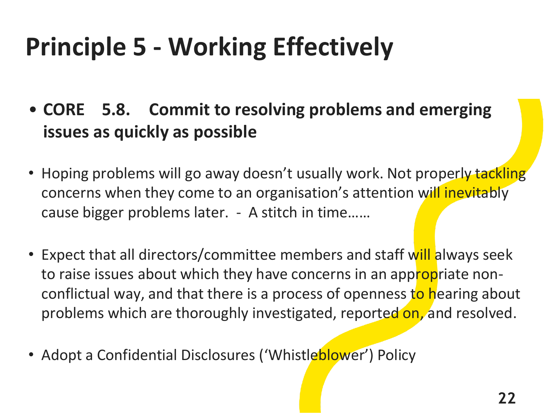- **CORE 5.8. Commit to resolving problems and emerging issues as quickly as possible**
- Hoping problems will go away doesn't usually work. Not properly tackling concerns when they come to an organisation's attention will inevitably cause bigger problems later. - A stitch in time……
- Expect that all directors/committee members and staff will always seek to raise issues about which they have concerns in an appropriate nonconflictual way, and that there is a process of openness to hearing about problems which are thoroughly investigated, reported on, and resolved.
- Adopt a Confidential Disclosures ('Whistleblower') Policy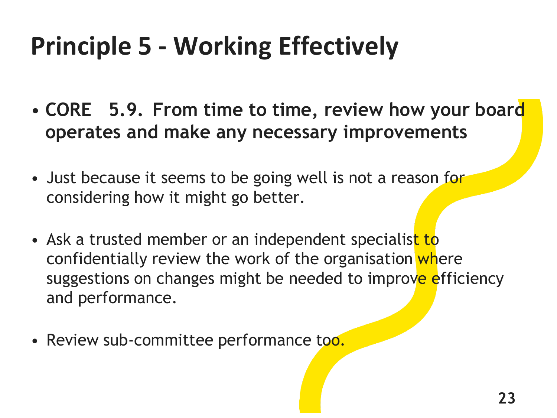- **CORE 5.9. From time to time, review how your board operates and make any necessary improvements**
- Just because it seems to be going well is not a reason for considering how it might go better.
- Ask a trusted member or an independent specialist to confidentially review the work of the organisation where suggestions on changes might be needed to improve efficiency and performance.
- Review sub-committee performance too.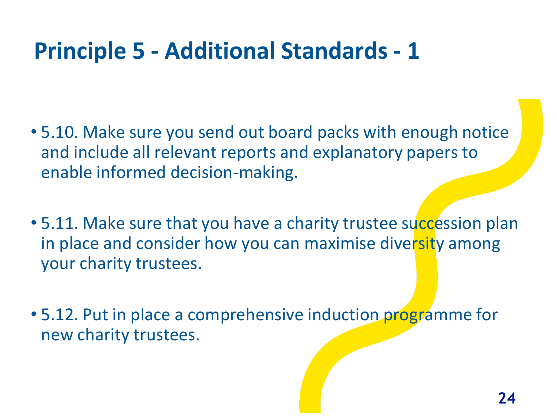- 5.10. Make sure you send out board packs with enough notice and include all relevant reports and explanatory papers to enable informed decision-making.
- 5.11. Make sure that you have a charity trustee succession plan in place and consider how you can maximise diversity among your charity trustees.
- 5.12. Put in place a comprehensive induction programme for new charity trustees.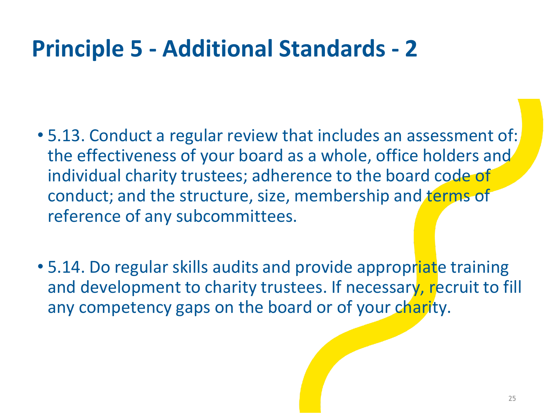- 5.13. Conduct a regular review that includes an assessment of: the effectiveness of your board as a whole, office holders and individual charity trustees; adherence to the board code of conduct; and the structure, size, membership and terms of reference of any subcommittees.
- 5.14. Do regular skills audits and provide appropriate training and development to charity trustees. If necessary, recruit to fill any competency gaps on the board or of your charity.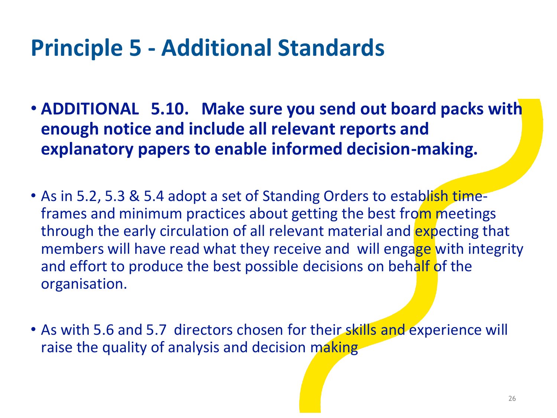- **ADDITIONAL 5.10. Make sure you send out board packs with enough notice and include all relevant reports and explanatory papers to enable informed decision-making.**
- As in 5.2, 5.3 & 5.4 adopt a set of Standing Orders to establish timeframes and minimum practices about getting the best from meetings through the early circulation of all relevant material and expecting that members will have read what they receive and will engage with integrity and effort to produce the best possible decisions on behalf of the organisation.
- As with 5.6 and 5.7 directors chosen for their skills and experience will raise the quality of analysis and decision making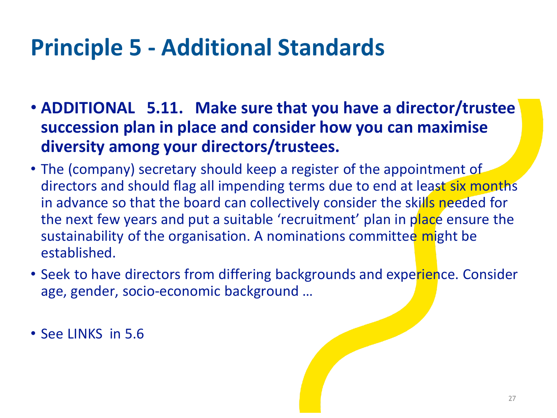- **ADDITIONAL 5.11. Make sure that you have a director/trustee succession plan in place and consider how you can maximise diversity among your directors/trustees.**
- The (company) secretary should keep a register of the appointment of directors and should flag all impending terms due to end at least six months in advance so that the board can collectively consider the skills needed for the next few years and put a suitable 'recruitment' plan in place ensure the sustainability of the organisation. A nominations committee might be established.
- Seek to have directors from differing backgrounds and experience. Consider age, gender, socio-economic background …

• See LINKS in 5.6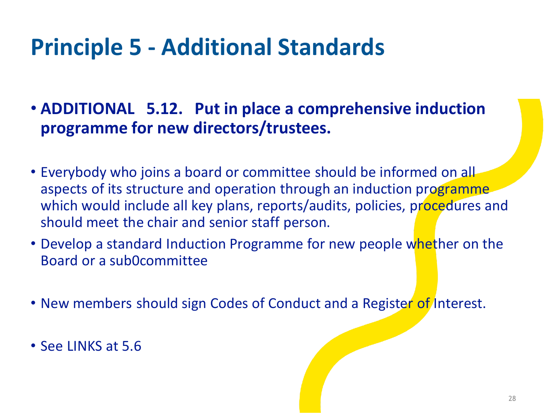- **ADDITIONAL 5.12. Put in place a comprehensive induction programme for new directors/trustees.**
- Everybody who joins a board or committee should be informed on all aspects of its structure and operation through an induction programme which would include all key plans, reports/audits, policies, procedures and should meet the chair and senior staff person.
- Develop a standard Induction Programme for new people whether on the Board or a sub0committee
- New members should sign Codes of Conduct and a Register of Interest.
- See LINKS at 5.6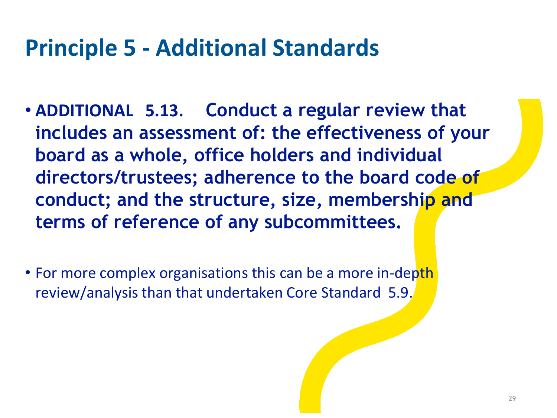- **ADDITIONAL 5.13. Conduct a regular review that includes an assessment of: the effectiveness of your board as a whole, office holders and individual directors/trustees; adherence to the board code of conduct; and the structure, size, membership and terms of reference of any subcommittees.**
- For more complex organisations this can be a more in-depth review/analysis than that undertaken Core Standard 5.9.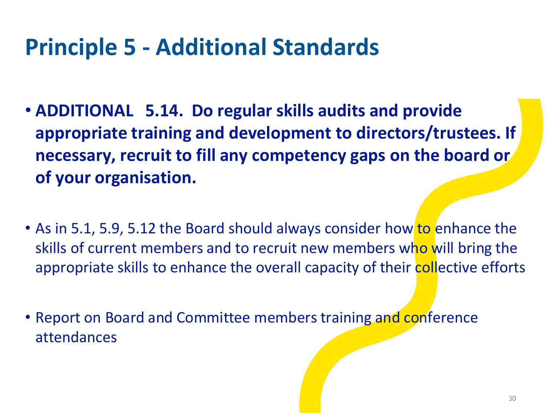- **ADDITIONAL 5.14. Do regular skills audits and provide appropriate training and development to directors/trustees. If necessary, recruit to fill any competency gaps on the board or of your organisation.**
- As in 5.1, 5.9, 5.12 the Board should always consider how to enhance the skills of current members and to recruit new members who will bring the appropriate skills to enhance the overall capacity of their collective efforts
- Report on Board and Committee members training and conference attendances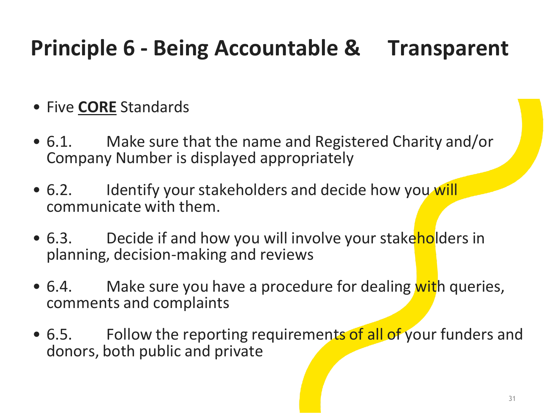- Five **CORE** Standards
- 6.1. Make sure that the name and Registered Charity and/or Company Number is displayed appropriately
- 6.2. Identify your stakeholders and decide how you will communicate with them.
- 6.3. Decide if and how you will involve your stakeholders in planning, decision-making and reviews
- 6.4. Make sure you have a procedure for dealing with queries, comments and complaints
- 6.5. Follow the reporting requirements of all of your funders and donors, both public and private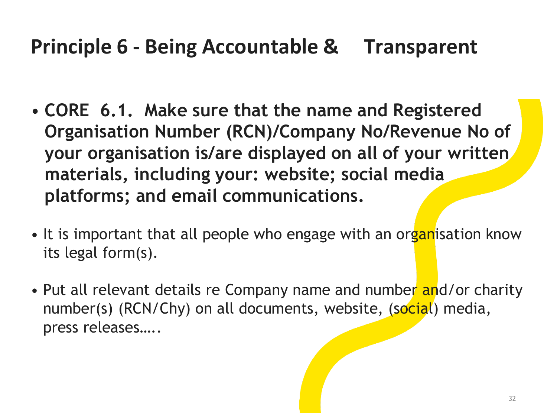- **CORE 6.1. Make sure that the name and Registered Organisation Number (RCN)/Company No/Revenue No of your organisation is/are displayed on all of your written materials, including your: website; social media platforms; and email communications.**
- It is important that all people who engage with an organisation know its legal form(s).
- Put all relevant details re Company name and number and/or charity number(s) (RCN/Chy) on all documents, website, (social) media, press releases…..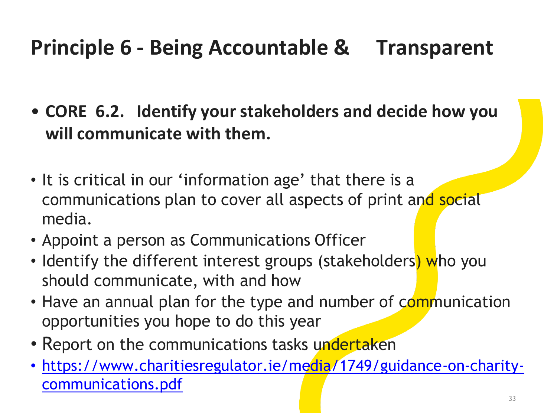• **CORE 6.2. Identify your stakeholders and decide how you will communicate with them.**

- It is critical in our 'information age' that there is a communications plan to cover all aspects of print and social media.
- Appoint a person as Communications Officer
- Identify the different interest groups (stakeholders) who you should communicate, with and how
- Have an annual plan for the type and number of communication opportunities you hope to do this year
- Report on the communications tasks undertaken
- [https://www.charitiesregulator.ie/media/1749/guidance-on-charity](https://www.charitiesregulator.ie/media/1749/guidance-on-charity-communications.pdf)communications.pdf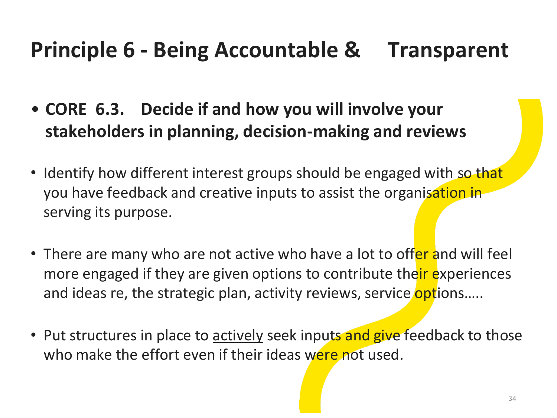- **CORE 6.3. Decide if and how you will involve your stakeholders in planning, decision-making and reviews**
- Identify how different interest groups should be engaged with so that you have feedback and creative inputs to assist the organisation in serving its purpose.
- There are many who are not active who have a lot to offer and will feel more engaged if they are given options to contribute their experiences and ideas re, the strategic plan, activity reviews, service options.....
- Put structures in place to actively seek inputs and give feedback to those who make the effort even if their ideas were not used.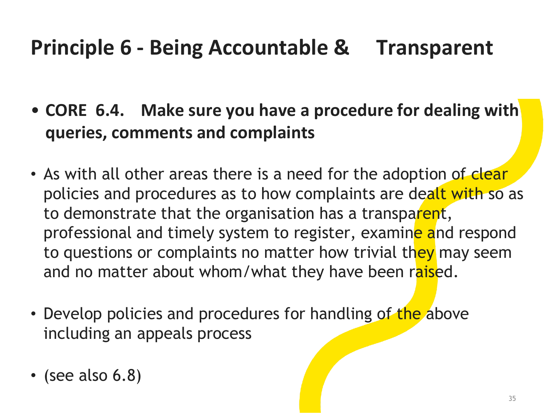- **CORE 6.4. Make sure you have a procedure for dealing with queries, comments and complaints**
- As with all other areas there is a need for the adoption of clear policies and procedures as to how complaints are dealt with so as to demonstrate that the organisation has a transparent, professional and timely system to register, examine and respond to questions or complaints no matter how trivial they may seem and no matter about whom/what they have been raised.
- Develop policies and procedures for handling of the above including an appeals process
- (see also 6.8)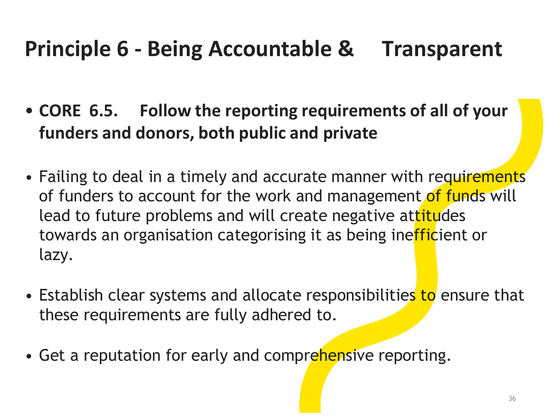- **CORE 6.5. Follow the reporting requirements of all of your funders and donors, both public and private**
- Failing to deal in a timely and accurate manner with requirements of funders to account for the work and management of funds will lead to future problems and will create negative attitudes towards an organisation categorising it as being inefficient or lazy.
- Establish clear systems and allocate responsibilities to ensure that these requirements are fully adhered to.
- Get a reputation for early and comprehensive reporting.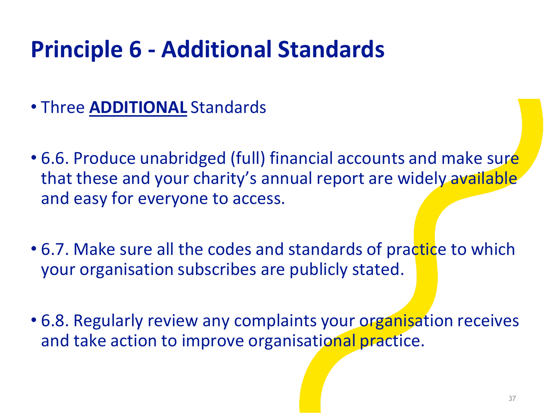- Three **ADDITIONAL** Standards
- 6.6. Produce unabridged (full) financial accounts and make sure that these and your charity's annual report are widely available and easy for everyone to access.
- 6.7. Make sure all the codes and standards of practice to which your organisation subscribes are publicly stated.
- 6.8. Regularly review any complaints your organisation receives and take action to improve organisational practice.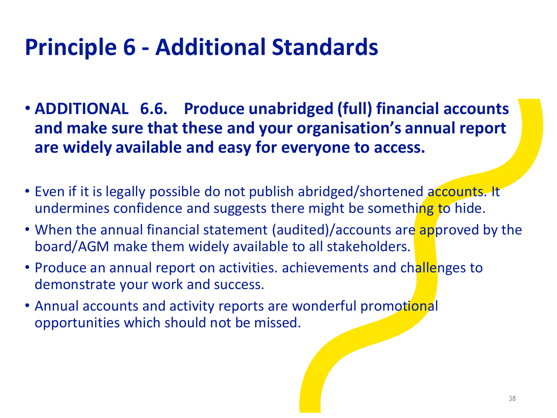- **ADDITIONAL 6.6. Produce unabridged (full) financial accounts and make sure that these and your organisation's annual report are widely available and easy for everyone to access.**
- Even if it is legally possible do not publish abridged/shortened accounts. It undermines confidence and suggests there might be something to hide.
- When the annual financial statement (audited)/accounts are approved by the board/AGM make them widely available to all stakeholders.
- Produce an annual report on activities. achievements and challenges to demonstrate your work and success.
- Annual accounts and activity reports are wonderful promotional opportunities which should not be missed.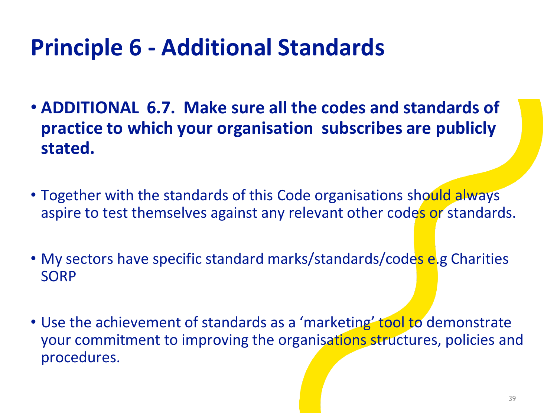- **ADDITIONAL 6.7. Make sure all the codes and standards of practice to which your organisation subscribes are publicly stated.**
- Together with the standards of this Code organisations should always aspire to test themselves against any relevant other codes or standards.
- My sectors have specific standard marks/standards/codes e.g Charities SORP
- Use the achievement of standards as a 'marketing' tool to demonstrate your commitment to improving the organisations structures, policies and procedures.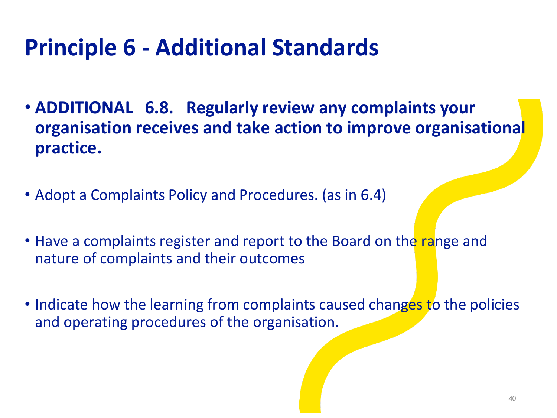- **ADDITIONAL 6.8. Regularly review any complaints your organisation receives and take action to improve organisational practice.**
- Adopt a Complaints Policy and Procedures. (as in 6.4)
- Have a complaints register and report to the Board on the range and nature of complaints and their outcomes
- Indicate how the learning from complaints caused changes to the policies and operating procedures of the organisation.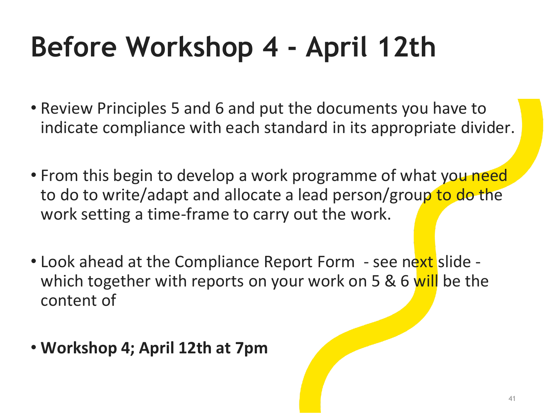# **Before Workshop 4 - April 12th**

- Review Principles 5 and 6 and put the documents you have to indicate compliance with each standard in its appropriate divider.
- From this begin to develop a work programme of what you need to do to write/adapt and allocate a lead person/group to do the work setting a time-frame to carry out the work.
- Look ahead at the Compliance Report Form see next slide which together with reports on your work on 5 & 6 will be the content of
- **Workshop 4; April 12th at 7pm**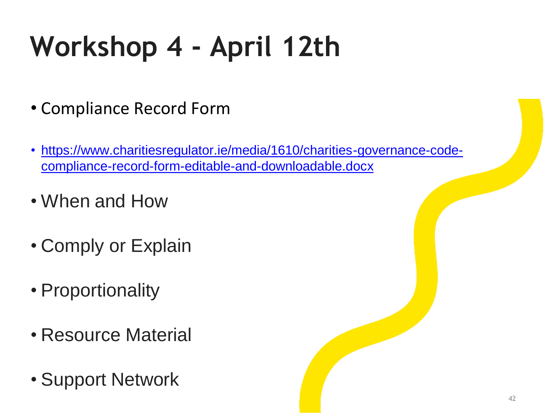# **Workshop 4 - April 12th**

- Compliance Record Form
- [https://www.charitiesregulator.ie/media/1610/charities-governance-code](https://www.charitiesregulator.ie/media/1610/charities-governance-code-compliance-record-form-editable-and-downloadable.docx)compliance-record-form-editable-and-downloadable.docx
- When and How
- Comply or Explain
- Proportionality
- Resource Material
- Support Network